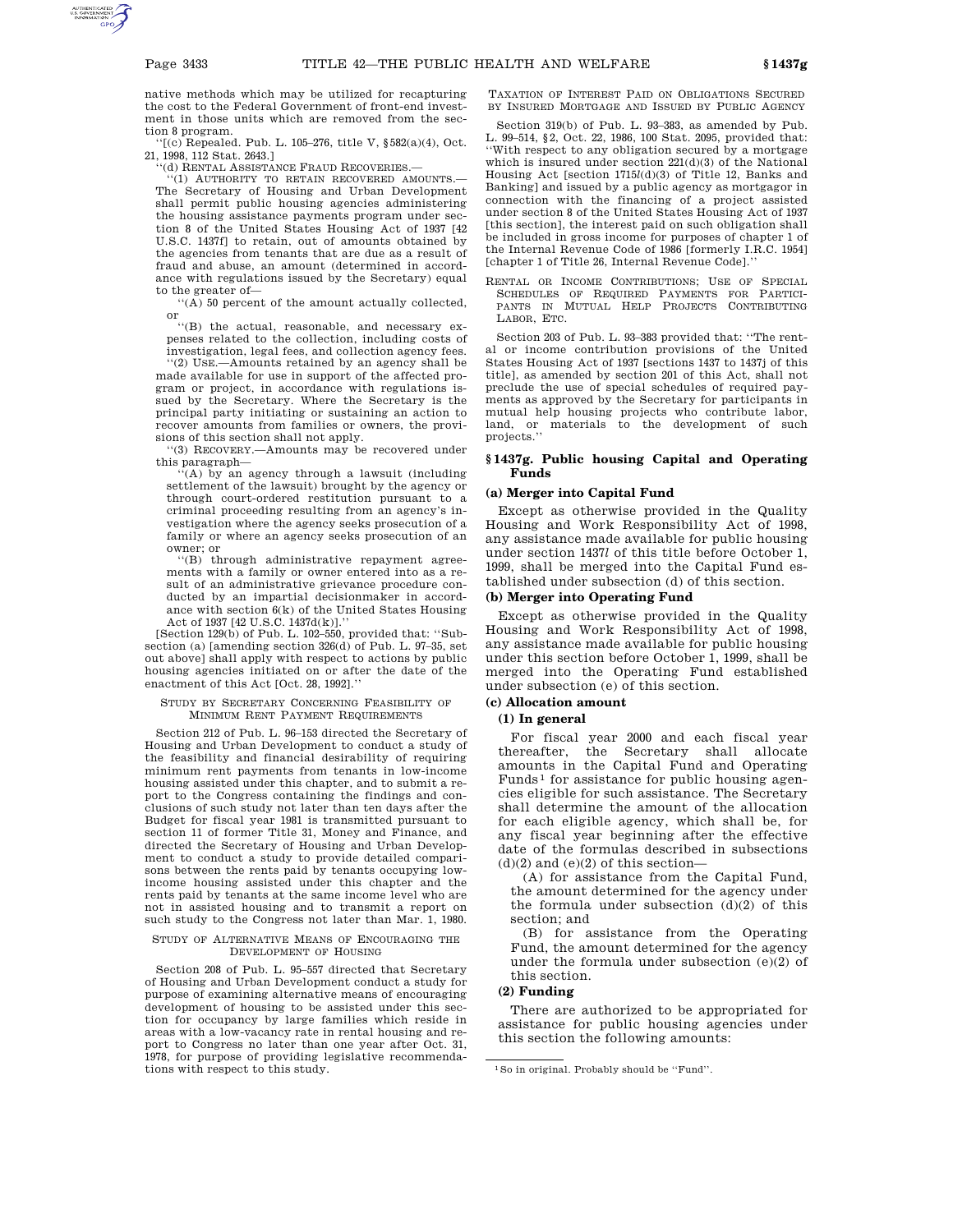native methods which may be utilized for recapturing the cost to the Federal Government of front-end investment in those units which are removed from the section 8 program.

''[(c) Repealed. Pub. L. 105–276, title V, §582(a)(4), Oct. 21, 1998, 112 Stat. 2643.]

''(d) RENTAL ASSISTANCE FRAUD RECOVERIES.—

''(1) AUTHORITY TO RETAIN RECOVERED AMOUNTS.— The Secretary of Housing and Urban Development shall permit public housing agencies administering the housing assistance payments program under section 8 of the United States Housing Act of 1937 [42 U.S.C. 1437f] to retain, out of amounts obtained by the agencies from tenants that are due as a result of fraud and abuse, an amount (determined in accordance with regulations issued by the Secretary) equal to the greater of—

''(A) 50 percent of the amount actually collected,

or ''(B) the actual, reasonable, and necessary expenses related to the collection, including costs of investigation, legal fees, and collection agency fees.

''(2) USE.—Amounts retained by an agency shall be made available for use in support of the affected program or project, in accordance with regulations issued by the Secretary. Where the Secretary is the principal party initiating or sustaining an action to recover amounts from families or owners, the provisions of this section shall not apply.

''(3) RECOVERY.—Amounts may be recovered under this paragraph— ''(A) by an agency through a lawsuit (including

settlement of the lawsuit) brought by the agency or through court-ordered restitution pursuant to a criminal proceeding resulting from an agency's investigation where the agency seeks prosecution of a family or where an agency seeks prosecution of an owner; or

''(B) through administrative repayment agreements with a family or owner entered into as a result of an administrative grievance procedure conducted by an impartial decisionmaker in accordance with section 6(k) of the United States Housing Act of 1937 [42 U.S.C. 1437d(k)].''

[Section 129(b) of Pub. L. 102–550, provided that: ''Subsection (a) [amending section 326(d) of Pub. L. 97–35, set out above] shall apply with respect to actions by public housing agencies initiated on or after the date of the enactment of this Act [Oct. 28, 1992].''

#### STUDY BY SECRETARY CONCERNING FEASIBILITY OF MINIMUM RENT PAYMENT REQUIREMENTS

Section 212 of Pub. L. 96–153 directed the Secretary of Housing and Urban Development to conduct a study of the feasibility and financial desirability of requiring minimum rent payments from tenants in low-income housing assisted under this chapter, and to submit a report to the Congress containing the findings and conclusions of such study not later than ten days after the Budget for fiscal year 1981 is transmitted pursuant to section 11 of former Title 31, Money and Finance, and directed the Secretary of Housing and Urban Development to conduct a study to provide detailed comparisons between the rents paid by tenants occupying lowincome housing assisted under this chapter and the rents paid by tenants at the same income level who are not in assisted housing and to transmit a report on such study to the Congress not later than Mar. 1, 1980.

#### STUDY OF ALTERNATIVE MEANS OF ENCOURAGING THE DEVELOPMENT OF HOUSING

Section 208 of Pub. L. 95–557 directed that Secretary of Housing and Urban Development conduct a study for purpose of examining alternative means of encouraging development of housing to be assisted under this section for occupancy by large families which reside in areas with a low-vacancy rate in rental housing and report to Congress no later than one year after Oct. 31, 1978, for purpose of providing legislative recommendations with respect to this study.

TAXATION OF INTEREST PAID ON OBLIGATIONS SECURED BY INSURED MORTGAGE AND ISSUED BY PUBLIC AGENCY

Section 319(b) of Pub. L. 93–383, as amended by Pub. L. 99–514, §2, Oct. 22, 1986, 100 Stat. 2095, provided that: ''With respect to any obligation secured by a mortgage which is insured under section 221(d)(3) of the National Housing Act [section 1715*l*(d)(3) of Title 12, Banks and Banking] and issued by a public agency as mortgagor in connection with the financing of a project assisted under section 8 of the United States Housing Act of 1937 [this section], the interest paid on such obligation shall be included in gross income for purposes of chapter 1 of the Internal Revenue Code of 1986 [formerly I.R.C. 1954] [chapter 1 of Title 26, Internal Revenue Code].''

RENTAL OR INCOME CONTRIBUTIONS; USE OF SPECIAL SCHEDULES OF REQUIRED PAYMENTS FOR PARTICI-PANTS IN MUTUAL HELP PROJECTS CONTRIBUTING LABOR, ETC.

Section 203 of Pub. L. 93–383 provided that: ''The rental or income contribution provisions of the United States Housing Act of 1937 [sections 1437 to 1437j of this title], as amended by section 201 of this Act, shall not preclude the use of special schedules of required payments as approved by the Secretary for participants in mutual help housing projects who contribute labor, land, or materials to the development of such projects.''

#### **§ 1437g. Public housing Capital and Operating Funds**

#### **(a) Merger into Capital Fund**

Except as otherwise provided in the Quality Housing and Work Responsibility Act of 1998, any assistance made available for public housing under section 1437*l* of this title before October 1, 1999, shall be merged into the Capital Fund established under subsection (d) of this section.

## **(b) Merger into Operating Fund**

Except as otherwise provided in the Quality Housing and Work Responsibility Act of 1998, any assistance made available for public housing under this section before October 1, 1999, shall be merged into the Operating Fund established under subsection (e) of this section.

# **(c) Allocation amount**

## **(1) In general**

For fiscal year 2000 and each fiscal year thereafter, the Secretary shall allocate amounts in the Capital Fund and Operating Funds 1 for assistance for public housing agencies eligible for such assistance. The Secretary shall determine the amount of the allocation for each eligible agency, which shall be, for any fiscal year beginning after the effective date of the formulas described in subsections  $(d)(2)$  and  $(e)(2)$  of this section-

(A) for assistance from the Capital Fund, the amount determined for the agency under the formula under subsection  $(d)(2)$  of this section; and

(B) for assistance from the Operating Fund, the amount determined for the agency under the formula under subsection (e)(2) of this section.

#### **(2) Funding**

There are authorized to be appropriated for assistance for public housing agencies under this section the following amounts:

<sup>1</sup>So in original. Probably should be ''Fund''.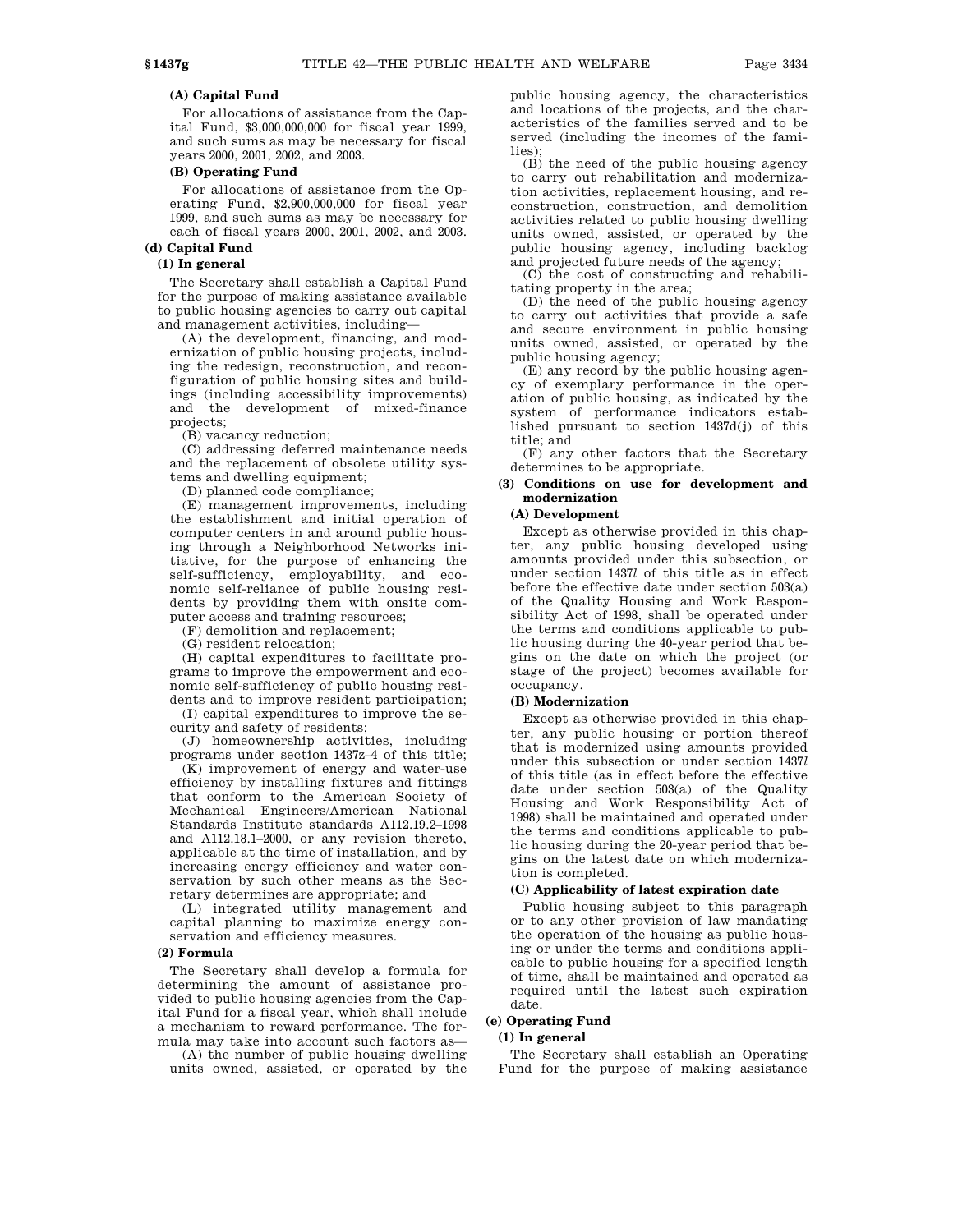## **(A) Capital Fund**

For allocations of assistance from the Capital Fund, \$3,000,000,000 for fiscal year 1999, and such sums as may be necessary for fiscal years 2000, 2001, 2002, and 2003.

## **(B) Operating Fund**

For allocations of assistance from the Operating Fund, \$2,900,000,000 for fiscal year 1999, and such sums as may be necessary for each of fiscal years 2000, 2001, 2002, and 2003. **(d) Capital Fund**

# **(1) In general**

The Secretary shall establish a Capital Fund for the purpose of making assistance available to public housing agencies to carry out capital and management activities, including—

(A) the development, financing, and modernization of public housing projects, including the redesign, reconstruction, and reconfiguration of public housing sites and buildings (including accessibility improvements) and the development of mixed-finance projects;

(B) vacancy reduction;

(C) addressing deferred maintenance needs and the replacement of obsolete utility systems and dwelling equipment;

(D) planned code compliance;

(E) management improvements, including the establishment and initial operation of computer centers in and around public housing through a Neighborhood Networks initiative, for the purpose of enhancing the self-sufficiency, employability, and economic self-reliance of public housing residents by providing them with onsite computer access and training resources;

(F) demolition and replacement;

(G) resident relocation;

(H) capital expenditures to facilitate programs to improve the empowerment and economic self-sufficiency of public housing residents and to improve resident participation;

(I) capital expenditures to improve the security and safety of residents;

(J) homeownership activities, including programs under section 1437z–4 of this title;

(K) improvement of energy and water-use efficiency by installing fixtures and fittings that conform to the American Society of Mechanical Engineers/American National Standards Institute standards A112.19.2–1998 and A112.18.1–2000, or any revision thereto, applicable at the time of installation, and by increasing energy efficiency and water conservation by such other means as the Secretary determines are appropriate; and

(L) integrated utility management and capital planning to maximize energy conservation and efficiency measures.

## **(2) Formula**

The Secretary shall develop a formula for determining the amount of assistance provided to public housing agencies from the Capital Fund for a fiscal year, which shall include a mechanism to reward performance. The formula may take into account such factors as—

(A) the number of public housing dwelling units owned, assisted, or operated by the public housing agency, the characteristics and locations of the projects, and the characteristics of the families served and to be served (including the incomes of the families)<sup>.</sup>

(B) the need of the public housing agency to carry out rehabilitation and modernization activities, replacement housing, and reconstruction, construction, and demolition activities related to public housing dwelling units owned, assisted, or operated by the public housing agency, including backlog and projected future needs of the agency;

(C) the cost of constructing and rehabilitating property in the area;

(D) the need of the public housing agency to carry out activities that provide a safe and secure environment in public housing units owned, assisted, or operated by the public housing agency;

(E) any record by the public housing agency of exemplary performance in the operation of public housing, as indicated by the system of performance indicators established pursuant to section 1437d(j) of this title; and

(F) any other factors that the Secretary determines to be appropriate.

#### **(3) Conditions on use for development and modernization**

## **(A) Development**

Except as otherwise provided in this chapter, any public housing developed using amounts provided under this subsection, or under section 1437*l* of this title as in effect before the effective date under section 503(a) of the Quality Housing and Work Responsibility Act of 1998, shall be operated under the terms and conditions applicable to public housing during the 40-year period that begins on the date on which the project (or stage of the project) becomes available for occupancy.

#### **(B) Modernization**

Except as otherwise provided in this chapter, any public housing or portion thereof that is modernized using amounts provided under this subsection or under section 1437*l* of this title (as in effect before the effective date under section 503(a) of the Quality Housing and Work Responsibility Act of 1998) shall be maintained and operated under the terms and conditions applicable to public housing during the 20-year period that begins on the latest date on which modernization is completed.

#### **(C) Applicability of latest expiration date**

Public housing subject to this paragraph or to any other provision of law mandating the operation of the housing as public housing or under the terms and conditions applicable to public housing for a specified length of time, shall be maintained and operated as required until the latest such expiration date.

## **(e) Operating Fund**

## **(1) In general**

The Secretary shall establish an Operating Fund for the purpose of making assistance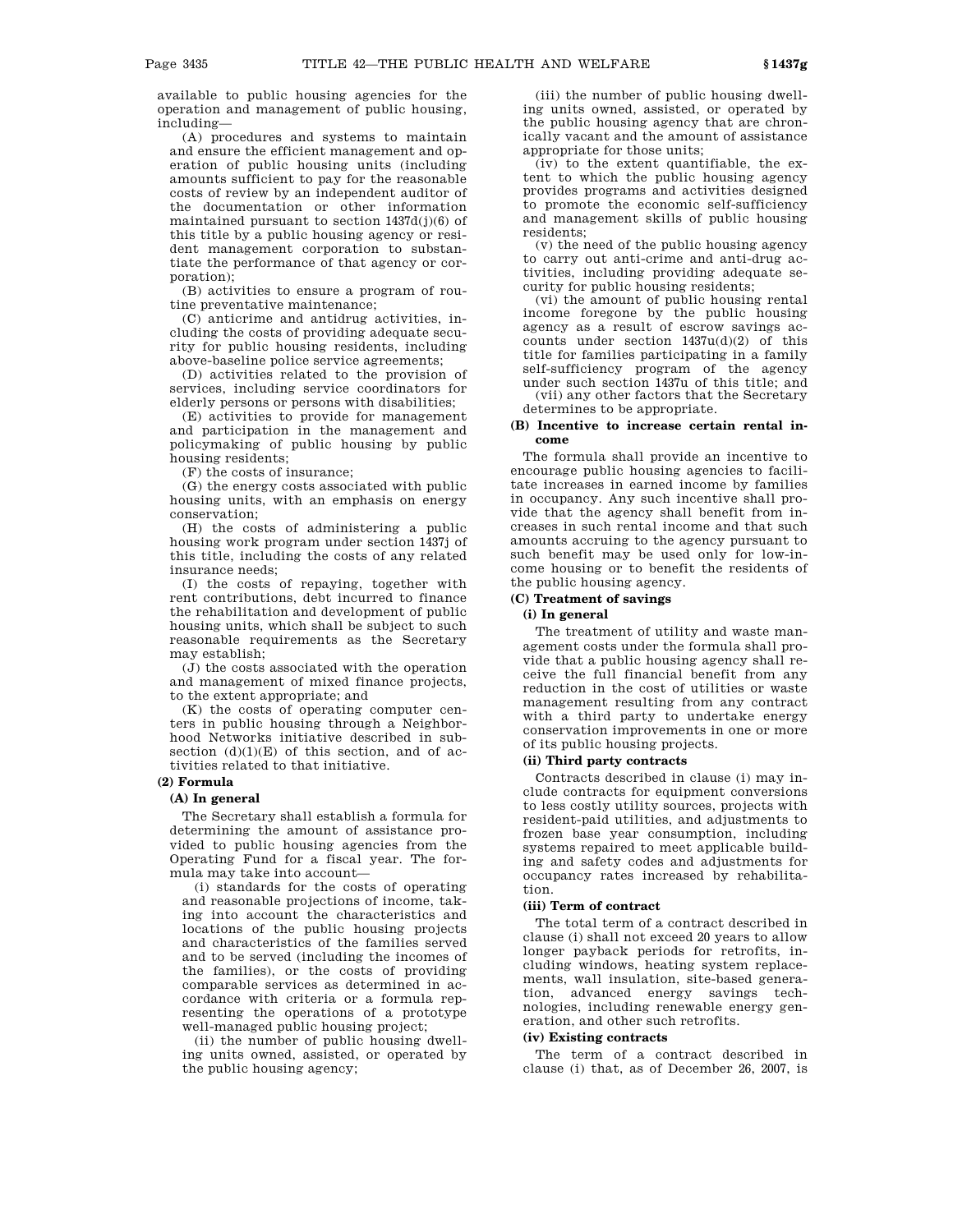available to public housing agencies for the operation and management of public housing, including—

(A) procedures and systems to maintain and ensure the efficient management and operation of public housing units (including amounts sufficient to pay for the reasonable costs of review by an independent auditor of the documentation or other information maintained pursuant to section 1437d(j)(6) of this title by a public housing agency or resident management corporation to substantiate the performance of that agency or corporation);

(B) activities to ensure a program of routine preventative maintenance;

(C) anticrime and antidrug activities, including the costs of providing adequate security for public housing residents, including above-baseline police service agreements;

(D) activities related to the provision of services, including service coordinators for elderly persons or persons with disabilities;

(E) activities to provide for management and participation in the management and policymaking of public housing by public housing residents;

(F) the costs of insurance;

(G) the energy costs associated with public housing units, with an emphasis on energy conservation;

(H) the costs of administering a public housing work program under section 1437j of this title, including the costs of any related insurance needs;

(I) the costs of repaying, together with rent contributions, debt incurred to finance the rehabilitation and development of public housing units, which shall be subject to such reasonable requirements as the Secretary may establish;

(J) the costs associated with the operation and management of mixed finance projects, to the extent appropriate; and

(K) the costs of operating computer centers in public housing through a Neighborhood Networks initiative described in subsection  $(d)(1)(E)$  of this section, and of activities related to that initiative.

## **(2) Formula**

## **(A) In general**

The Secretary shall establish a formula for determining the amount of assistance provided to public housing agencies from the Operating Fund for a fiscal year. The formula may take into account—

(i) standards for the costs of operating and reasonable projections of income, taking into account the characteristics and locations of the public housing projects and characteristics of the families served and to be served (including the incomes of the families), or the costs of providing comparable services as determined in accordance with criteria or a formula representing the operations of a prototype well-managed public housing project;

(ii) the number of public housing dwelling units owned, assisted, or operated by the public housing agency;

(iii) the number of public housing dwelling units owned, assisted, or operated by the public housing agency that are chronically vacant and the amount of assistance appropriate for those units;

(iv) to the extent quantifiable, the extent to which the public housing agency provides programs and activities designed to promote the economic self-sufficiency and management skills of public housing residents;

(v) the need of the public housing agency to carry out anti-crime and anti-drug activities, including providing adequate security for public housing residents;

(vi) the amount of public housing rental income foregone by the public housing agency as a result of escrow savings accounts under section 1437u(d)(2) of this title for families participating in a family self-sufficiency program of the agency under such section 1437u of this title; and

(vii) any other factors that the Secretary determines to be appropriate.

## **(B) Incentive to increase certain rental income**

The formula shall provide an incentive to encourage public housing agencies to facilitate increases in earned income by families in occupancy. Any such incentive shall provide that the agency shall benefit from increases in such rental income and that such amounts accruing to the agency pursuant to such benefit may be used only for low-income housing or to benefit the residents of the public housing agency.

## **(C) Treatment of savings**

#### **(i) In general**

The treatment of utility and waste management costs under the formula shall provide that a public housing agency shall receive the full financial benefit from any reduction in the cost of utilities or waste management resulting from any contract with a third party to undertake energy conservation improvements in one or more of its public housing projects.

## **(ii) Third party contracts**

Contracts described in clause (i) may include contracts for equipment conversions to less costly utility sources, projects with resident-paid utilities, and adjustments to frozen base year consumption, including systems repaired to meet applicable building and safety codes and adjustments for occupancy rates increased by rehabilitation.

## **(iii) Term of contract**

The total term of a contract described in clause (i) shall not exceed 20 years to allow longer payback periods for retrofits, including windows, heating system replacements, wall insulation, site-based generation, advanced energy savings technologies, including renewable energy generation, and other such retrofits.

#### **(iv) Existing contracts**

The term of a contract described in clause (i) that, as of December 26, 2007, is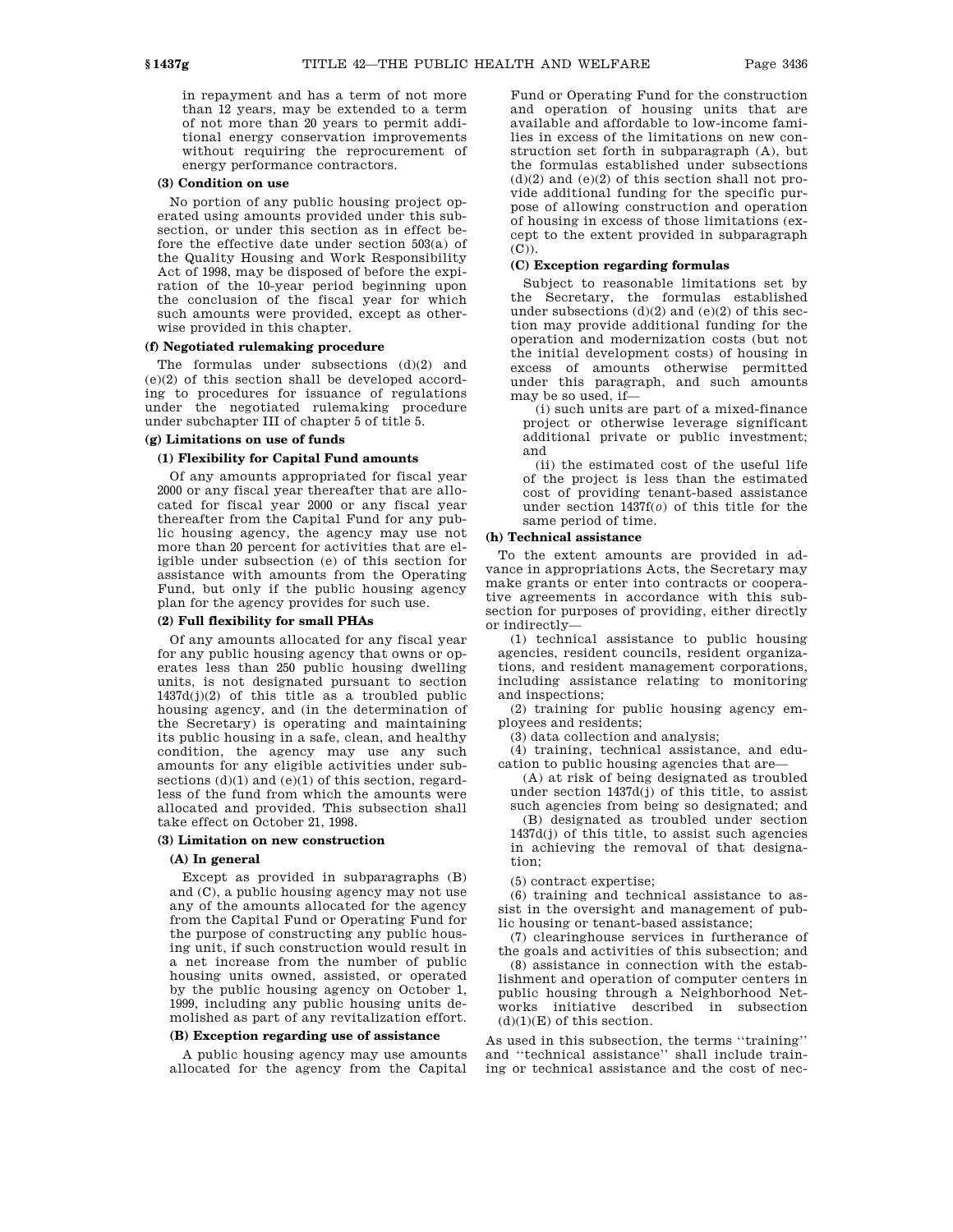in repayment and has a term of not more than 12 years, may be extended to a term of not more than 20 years to permit additional energy conservation improvements without requiring the reprocurement of energy performance contractors.

#### **(3) Condition on use**

No portion of any public housing project operated using amounts provided under this subsection, or under this section as in effect before the effective date under section 503(a) of the Quality Housing and Work Responsibility Act of 1998, may be disposed of before the expiration of the 10-year period beginning upon the conclusion of the fiscal year for which such amounts were provided, except as otherwise provided in this chapter.

#### **(f) Negotiated rulemaking procedure**

The formulas under subsections (d)(2) and (e)(2) of this section shall be developed according to procedures for issuance of regulations under the negotiated rulemaking procedure under subchapter III of chapter 5 of title 5.

## **(g) Limitations on use of funds**

## **(1) Flexibility for Capital Fund amounts**

Of any amounts appropriated for fiscal year 2000 or any fiscal year thereafter that are allocated for fiscal year 2000 or any fiscal year thereafter from the Capital Fund for any public housing agency, the agency may use not more than 20 percent for activities that are eligible under subsection (e) of this section for assistance with amounts from the Operating Fund, but only if the public housing agency plan for the agency provides for such use.

#### **(2) Full flexibility for small PHAs**

Of any amounts allocated for any fiscal year for any public housing agency that owns or operates less than 250 public housing dwelling units, is not designated pursuant to section  $1437d(j)(2)$  of this title as a troubled public housing agency, and (in the determination of the Secretary) is operating and maintaining its public housing in a safe, clean, and healthy condition, the agency may use any such amounts for any eligible activities under subsections  $(d)(1)$  and  $(e)(1)$  of this section, regardless of the fund from which the amounts were allocated and provided. This subsection shall take effect on October 21, 1998.

#### **(3) Limitation on new construction**

#### **(A) In general**

Except as provided in subparagraphs (B) and (C), a public housing agency may not use any of the amounts allocated for the agency from the Capital Fund or Operating Fund for the purpose of constructing any public housing unit, if such construction would result in a net increase from the number of public housing units owned, assisted, or operated by the public housing agency on October 1, 1999, including any public housing units demolished as part of any revitalization effort.

#### **(B) Exception regarding use of assistance**

A public housing agency may use amounts allocated for the agency from the Capital Fund or Operating Fund for the construction and operation of housing units that are available and affordable to low-income families in excess of the limitations on new construction set forth in subparagraph (A), but the formulas established under subsections  $(d)(2)$  and  $(e)(2)$  of this section shall not provide additional funding for the specific purpose of allowing construction and operation of housing in excess of those limitations (except to the extent provided in subparagraph (C)).

## **(C) Exception regarding formulas**

Subject to reasonable limitations set by the Secretary, the formulas established under subsections  $(d)(2)$  and  $(e)(2)$  of this section may provide additional funding for the operation and modernization costs (but not the initial development costs) of housing in excess of amounts otherwise permitted under this paragraph, and such amounts may be so used, if—

(i) such units are part of a mixed-finance project or otherwise leverage significant additional private or public investment; and

(ii) the estimated cost of the useful life of the project is less than the estimated cost of providing tenant-based assistance under section 1437f(*o*) of this title for the same period of time.

## **(h) Technical assistance**

To the extent amounts are provided in advance in appropriations Acts, the Secretary may make grants or enter into contracts or cooperative agreements in accordance with this subsection for purposes of providing, either directly or indirectly—

(1) technical assistance to public housing agencies, resident councils, resident organizations, and resident management corporations, including assistance relating to monitoring and inspections;

(2) training for public housing agency employees and residents;

(3) data collection and analysis;

(4) training, technical assistance, and education to public housing agencies that are—

(A) at risk of being designated as troubled under section 1437d(j) of this title, to assist such agencies from being so designated; and (B) designated as troubled under section 1437d(j) of this title, to assist such agencies in achieving the removal of that designation;

(5) contract expertise;

(6) training and technical assistance to assist in the oversight and management of public housing or tenant-based assistance;

(7) clearinghouse services in furtherance of the goals and activities of this subsection; and

(8) assistance in connection with the establishment and operation of computer centers in public housing through a Neighborhood Networks initiative described in subsection  $(d)(1)(E)$  of this section.

As used in this subsection, the terms ''training'' and ''technical assistance'' shall include training or technical assistance and the cost of nec-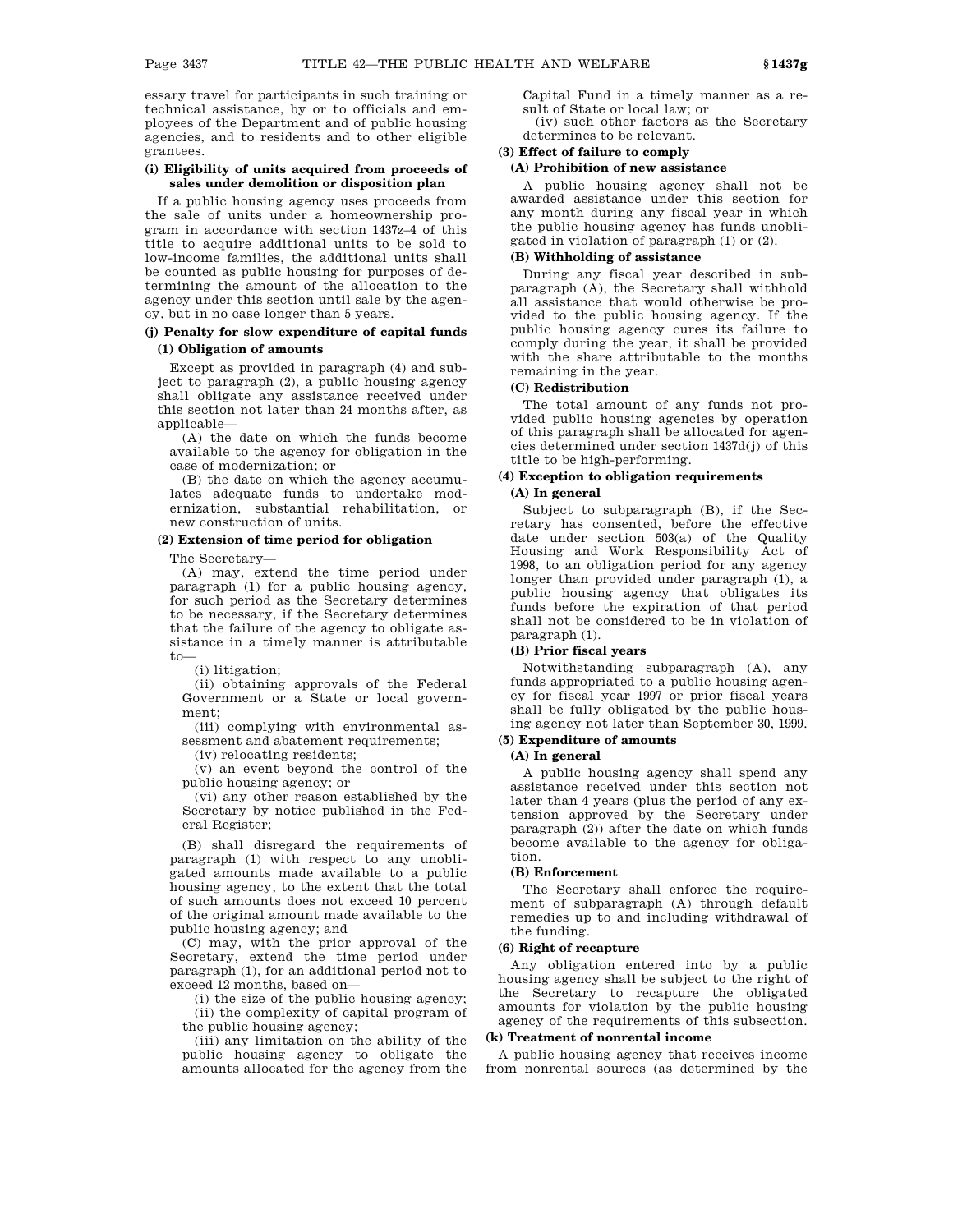essary travel for participants in such training or technical assistance, by or to officials and employees of the Department and of public housing agencies, and to residents and to other eligible grantees.

#### **(i) Eligibility of units acquired from proceeds of sales under demolition or disposition plan**

If a public housing agency uses proceeds from the sale of units under a homeownership program in accordance with section 1437z–4 of this title to acquire additional units to be sold to low-income families, the additional units shall be counted as public housing for purposes of determining the amount of the allocation to the agency under this section until sale by the agency, but in no case longer than 5 years.

## **(j) Penalty for slow expenditure of capital funds (1) Obligation of amounts**

Except as provided in paragraph (4) and subject to paragraph (2), a public housing agency shall obligate any assistance received under this section not later than 24 months after, as applicable-

(A) the date on which the funds become available to the agency for obligation in the case of modernization; or

(B) the date on which the agency accumulates adequate funds to undertake modernization, substantial rehabilitation, or new construction of units.

## **(2) Extension of time period for obligation**

The Secretary—

(A) may, extend the time period under paragraph (1) for a public housing agency, for such period as the Secretary determines to be necessary, if the Secretary determines that the failure of the agency to obligate assistance in a timely manner is attributable to—

(i) litigation;

(ii) obtaining approvals of the Federal Government or a State or local government;

(iii) complying with environmental assessment and abatement requirements;

(iv) relocating residents;

(v) an event beyond the control of the public housing agency; or

(vi) any other reason established by the Secretary by notice published in the Federal Register;

(B) shall disregard the requirements of paragraph (1) with respect to any unobligated amounts made available to a public housing agency, to the extent that the total of such amounts does not exceed 10 percent of the original amount made available to the public housing agency; and

(C) may, with the prior approval of the Secretary, extend the time period under paragraph (1), for an additional period not to exceed 12 months, based on—

(i) the size of the public housing agency; (ii) the complexity of capital program of the public housing agency;

(iii) any limitation on the ability of the public housing agency to obligate the amounts allocated for the agency from the Capital Fund in a timely manner as a result of State or local law; or

(iv) such other factors as the Secretary determines to be relevant.

# **(3) Effect of failure to comply**

## **(A) Prohibition of new assistance**

A public housing agency shall not be awarded assistance under this section for any month during any fiscal year in which the public housing agency has funds unobligated in violation of paragraph (1) or (2).

## **(B) Withholding of assistance**

During any fiscal year described in subparagraph (A), the Secretary shall withhold all assistance that would otherwise be provided to the public housing agency. If the public housing agency cures its failure to comply during the year, it shall be provided with the share attributable to the months remaining in the year.

## **(C) Redistribution**

The total amount of any funds not provided public housing agencies by operation of this paragraph shall be allocated for agencies determined under section 1437d(j) of this title to be high-performing.

## **(4) Exception to obligation requirements (A) In general**

Subject to subparagraph (B), if the Secretary has consented, before the effective date under section 503(a) of the Quality Housing and Work Responsibility Act of 1998, to an obligation period for any agency longer than provided under paragraph (1), a public housing agency that obligates its funds before the expiration of that period shall not be considered to be in violation of paragraph (1).

#### **(B) Prior fiscal years**

Notwithstanding subparagraph (A), any funds appropriated to a public housing agency for fiscal year 1997 or prior fiscal years shall be fully obligated by the public housing agency not later than September 30, 1999.

# **(5) Expenditure of amounts**

# **(A) In general**

A public housing agency shall spend any assistance received under this section not later than 4 years (plus the period of any extension approved by the Secretary under paragraph (2)) after the date on which funds become available to the agency for obligation.

## **(B) Enforcement**

The Secretary shall enforce the requirement of subparagraph (A) through default remedies up to and including withdrawal of the funding.

## **(6) Right of recapture**

Any obligation entered into by a public housing agency shall be subject to the right of the Secretary to recapture the obligated amounts for violation by the public housing agency of the requirements of this subsection.

### **(k) Treatment of nonrental income**

A public housing agency that receives income from nonrental sources (as determined by the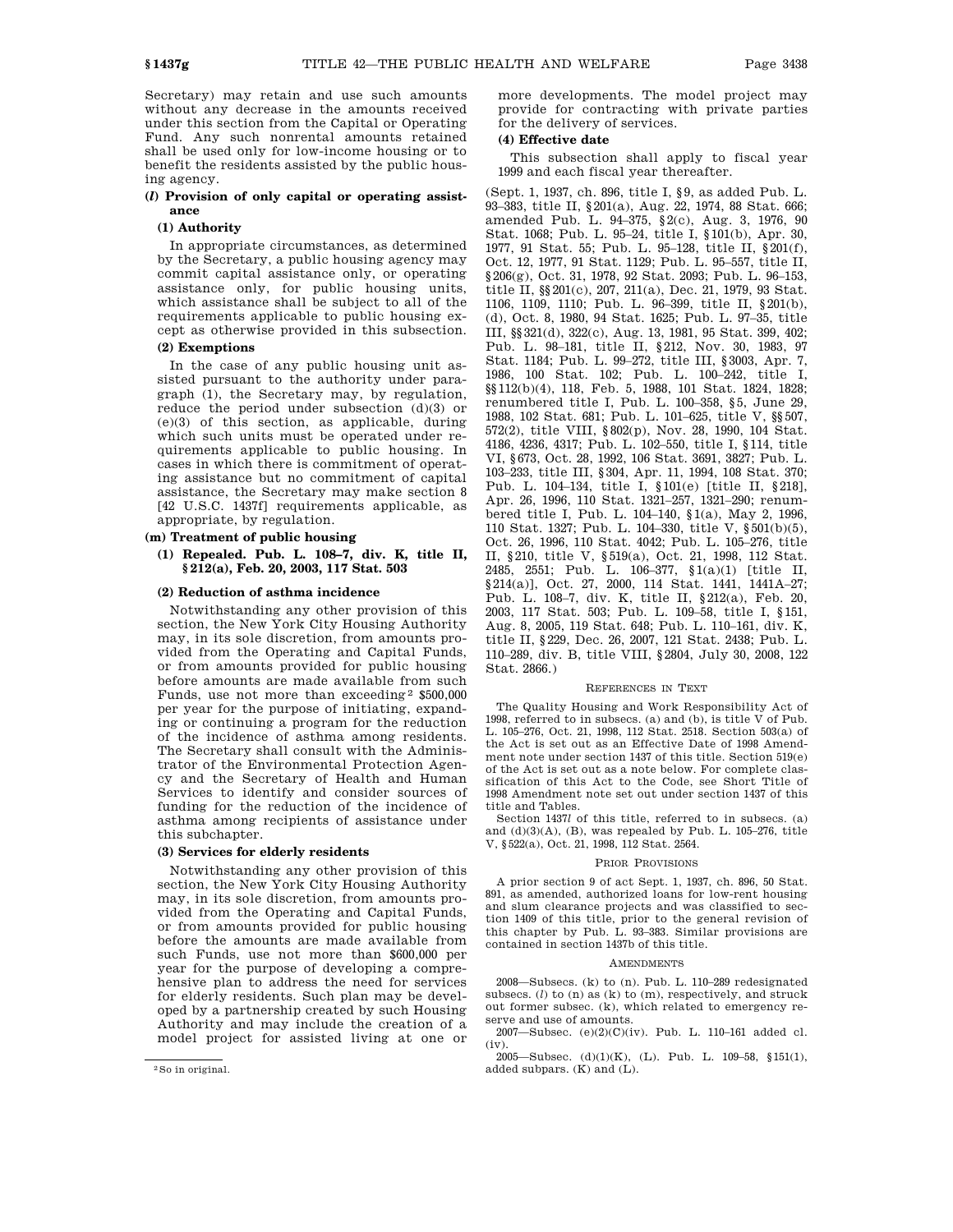Secretary) may retain and use such amounts without any decrease in the amounts received under this section from the Capital or Operating Fund. Any such nonrental amounts retained shall be used only for low-income housing or to benefit the residents assisted by the public housing agency.

## **(***l***) Provision of only capital or operating assistance**

#### **(1) Authority**

In appropriate circumstances, as determined by the Secretary, a public housing agency may commit capital assistance only, or operating assistance only, for public housing units, which assistance shall be subject to all of the requirements applicable to public housing except as otherwise provided in this subsection.

## **(2) Exemptions**

In the case of any public housing unit assisted pursuant to the authority under paragraph (1), the Secretary may, by regulation, reduce the period under subsection (d)(3) or (e)(3) of this section, as applicable, during which such units must be operated under requirements applicable to public housing. In cases in which there is commitment of operating assistance but no commitment of capital assistance, the Secretary may make section 8 [42 U.S.C. 1437f] requirements applicable, as appropriate, by regulation.

## **(m) Treatment of public housing**

## **(1) Repealed. Pub. L. 108–7, div. K, title II, § 212(a), Feb. 20, 2003, 117 Stat. 503**

## **(2) Reduction of asthma incidence**

Notwithstanding any other provision of this section, the New York City Housing Authority may, in its sole discretion, from amounts provided from the Operating and Capital Funds, or from amounts provided for public housing before amounts are made available from such Funds, use not more than exceeding 2 \$500,000 per year for the purpose of initiating, expanding or continuing a program for the reduction of the incidence of asthma among residents. The Secretary shall consult with the Administrator of the Environmental Protection Agency and the Secretary of Health and Human Services to identify and consider sources of funding for the reduction of the incidence of asthma among recipients of assistance under this subchapter.

#### **(3) Services for elderly residents**

Notwithstanding any other provision of this section, the New York City Housing Authority may, in its sole discretion, from amounts provided from the Operating and Capital Funds, or from amounts provided for public housing before the amounts are made available from such Funds, use not more than \$600,000 per year for the purpose of developing a comprehensive plan to address the need for services for elderly residents. Such plan may be developed by a partnership created by such Housing Authority and may include the creation of a model project for assisted living at one or more developments. The model project may provide for contracting with private parties for the delivery of services.

## **(4) Effective date**

This subsection shall apply to fiscal year 1999 and each fiscal year thereafter.

(Sept. 1, 1937, ch. 896, title I, §9, as added Pub. L. 93–383, title II, §201(a), Aug. 22, 1974, 88 Stat. 666; amended Pub. L. 94–375, §2(c), Aug. 3, 1976, 90 Stat. 1068; Pub. L. 95–24, title I, §101(b), Apr. 30, 1977, 91 Stat. 55; Pub. L. 95–128, title II, §201(f), Oct. 12, 1977, 91 Stat. 1129; Pub. L. 95–557, title II, §206(g), Oct. 31, 1978, 92 Stat. 2093; Pub. L. 96–153, title II, §§201(c), 207, 211(a), Dec. 21, 1979, 93 Stat. 1106, 1109, 1110; Pub. L. 96–399, title II, §201(b), (d), Oct. 8, 1980, 94 Stat. 1625; Pub. L. 97–35, title III, §§321(d), 322(c), Aug. 13, 1981, 95 Stat. 399, 402; Pub. L. 98–181, title II, §212, Nov. 30, 1983, 97 Stat. 1184; Pub. L. 99–272, title III, §3003, Apr. 7, 1986, 100 Stat. 102; Pub. L. 100–242, title I, §§112(b)(4), 118, Feb. 5, 1988, 101 Stat. 1824, 1828; renumbered title I, Pub. L. 100–358, §5, June 29, 1988, 102 Stat. 681; Pub. L. 101–625, title V, §§507, 572(2), title VIII, §802(p), Nov. 28, 1990, 104 Stat. 4186, 4236, 4317; Pub. L. 102–550, title I, §114, title VI, §673, Oct. 28, 1992, 106 Stat. 3691, 3827; Pub. L. 103–233, title III, §304, Apr. 11, 1994, 108 Stat. 370; Pub. L. 104–134, title I, §101(e) [title II, §218], Apr. 26, 1996, 110 Stat. 1321–257, 1321–290; renumbered title I, Pub. L. 104–140, §1(a), May 2, 1996, 110 Stat. 1327; Pub. L. 104–330, title V, §501(b)(5), Oct. 26, 1996, 110 Stat. 4042; Pub. L. 105–276, title II, §210, title V, §519(a), Oct. 21, 1998, 112 Stat. 2485, 2551; Pub. L. 106–377, §1(a)(1) [title II, §214(a)], Oct. 27, 2000, 114 Stat. 1441, 1441A-27; Pub. L. 108–7, div. K, title II, §212(a), Feb. 20, 2003, 117 Stat. 503; Pub. L. 109–58, title I, §151, Aug. 8, 2005, 119 Stat. 648; Pub. L. 110–161, div. K, title II, §229, Dec. 26, 2007, 121 Stat. 2438; Pub. L. 110–289, div. B, title VIII, §2804, July 30, 2008, 122 Stat. 2866.)

## REFERENCES IN TEXT

The Quality Housing and Work Responsibility Act of 1998, referred to in subsecs. (a) and (b), is title  $\tilde{V}$  of Pub. L. 105–276, Oct. 21, 1998, 112 Stat. 2518. Section 503(a) of the Act is set out as an Effective Date of 1998 Amendment note under section 1437 of this title. Section 519(e) of the Act is set out as a note below. For complete classification of this Act to the Code, see Short Title of 1998 Amendment note set out under section 1437 of this title and Tables.

Section 1437*l* of this title, referred to in subsecs. (a) and  $(d)(3)(A)$ ,  $(B)$ , was repealed by Pub. L. 105–276, title V, §522(a), Oct. 21, 1998, 112 Stat. 2564.

#### PRIOR PROVISIONS

A prior section 9 of act Sept. 1, 1937, ch. 896, 50 Stat. 891, as amended, authorized loans for low-rent housing and slum clearance projects and was classified to section 1409 of this title, prior to the general revision of this chapter by Pub. L. 93–383. Similar provisions are contained in section 1437b of this title.

#### AMENDMENTS

2008—Subsecs. (k) to (n). Pub. L. 110–289 redesignated subsecs. (*l*) to (n) as (k) to (m), respectively, and struck out former subsec. (k), which related to emergency reserve and use of amounts.

2007—Subsec. (e)(2)(C)(iv). Pub. L. 110–161 added cl. (iv).

2005—Subsec. (d)(1)(K), (L). Pub. L. 109–58, §151(1), added subpars. (K) and (L).

<sup>2</sup>So in original.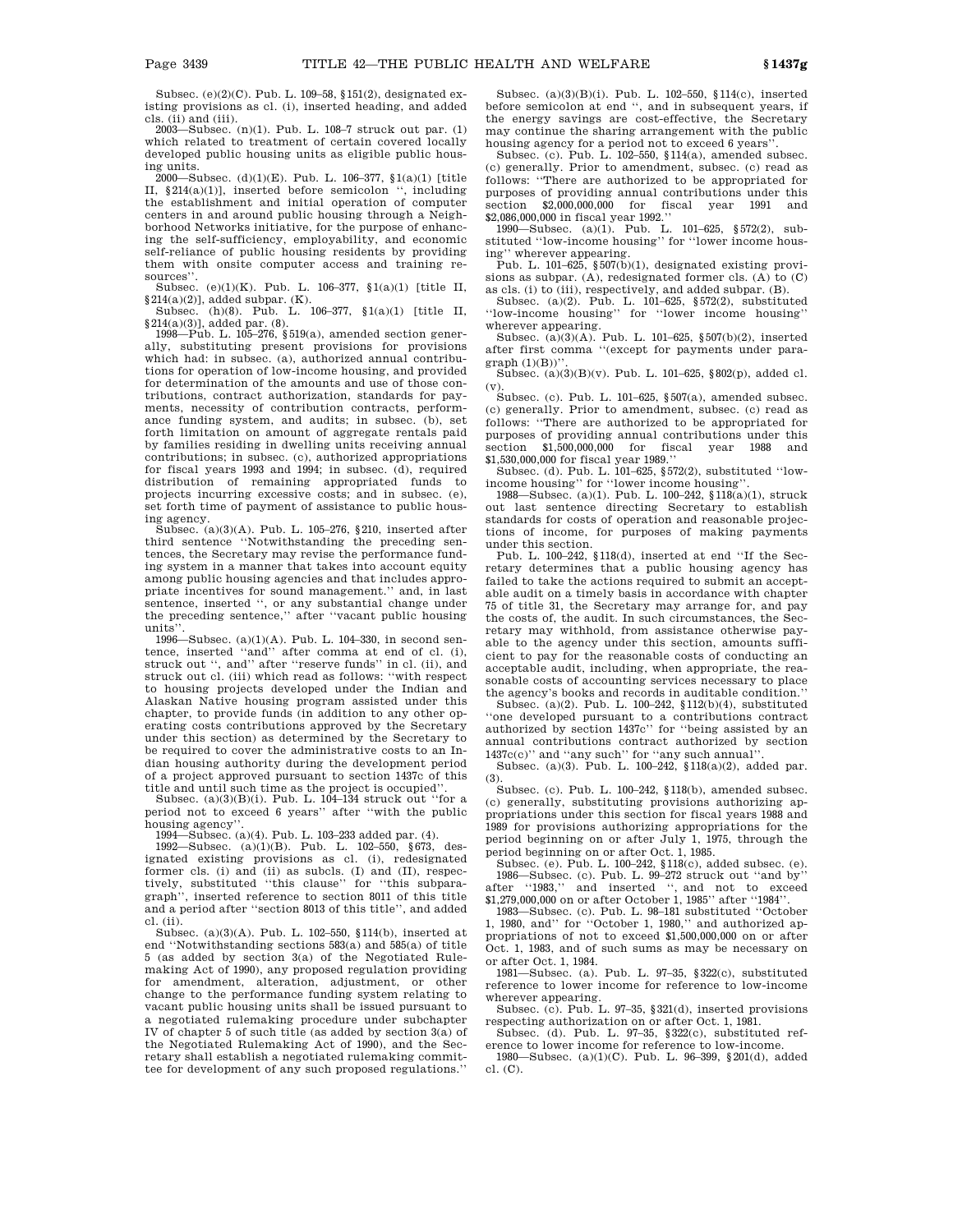Subsec. (e)(2)(C). Pub. L. 109–58, §151(2), designated existing provisions as cl. (i), inserted heading, and added cls. (ii) and (iii).

2003—Subsec. (n)(1). Pub. L. 108–7 struck out par. (1) which related to treatment of certain covered locally developed public housing units as eligible public housing units.

2000—Subsec. (d)(1)(E). Pub. L. 106–377, §1(a)(1) [title II, §214(a)(1)], inserted before semicolon '', including the establishment and initial operation of computer centers in and around public housing through a Neighborhood Networks initiative, for the purpose of enhancing the self-sufficiency, employability, and economic self-reliance of public housing residents by providing them with onsite computer access and training resources''.

Subsec. (e)(1)(K). Pub. L. 106–377, §1(a)(1) [title II, §214(a)(2)], added subpar. (K). Subsec. (h)(8). Pub. L. 106–377, §1(a)(1) [title II,

§214(a)(3)], added par. (8).

1998—Pub. L. 105–276, §519(a), amended section generally, substituting present provisions for provisions which had: in subsec. (a), authorized annual contributions for operation of low-income housing, and provided for determination of the amounts and use of those contributions, contract authorization, standards for payments, necessity of contribution contracts, performance funding system, and audits; in subsec. (b), set forth limitation on amount of aggregate rentals paid by families residing in dwelling units receiving annual contributions; in subsec. (c), authorized appropriations for fiscal years 1993 and 1994; in subsec. (d), required distribution of remaining appropriated funds to projects incurring excessive costs; and in subsec. (e), set forth time of payment of assistance to public housing agency.

Subsec. (a)(3)(A). Pub. L. 105–276, §210, inserted after third sentence ''Notwithstanding the preceding sentences, the Secretary may revise the performance funding system in a manner that takes into account equity among public housing agencies and that includes appropriate incentives for sound management.'' and, in last sentence, inserted '', or any substantial change under the preceding sentence,'' after ''vacant public housing units''.

1996—Subsec. (a)(1)(A). Pub. L. 104–330, in second sentence, inserted ''and'' after comma at end of cl. (i), struck out '', and'' after ''reserve funds'' in cl. (ii), and struck out cl. (iii) which read as follows: ''with respect to housing projects developed under the Indian and Alaskan Native housing program assisted under this chapter, to provide funds (in addition to any other operating costs contributions approved by the Secretary under this section) as determined by the Secretary to be required to cover the administrative costs to an Indian housing authority during the development period of a project approved pursuant to section 1437c of this title and until such time as the project is occupied''. Subsec. (a)(3)(B)(i). Pub. L. 104–134 struck out ''for a

period not to exceed 6 years'' after ''with the public housing agency''.

1994—Subsec. (a)(4). Pub. L. 103–233 added par. (4).

1992—Subsec. (a)(1)(B). Pub. L. 102–550, §673, designated existing provisions as cl. (i), redesignated former cls. (i) and (ii) as subcls. (I) and (II), respectively, substituted ''this clause'' for ''this subparagraph'', inserted reference to section 8011 of this title and a period after ''section 8013 of this title'', and added cl. (ii).

Subsec. (a)(3)(A). Pub. L. 102–550, §114(b), inserted at end ''Notwithstanding sections 583(a) and 585(a) of title 5 (as added by section 3(a) of the Negotiated Rulemaking Act of 1990), any proposed regulation providing for amendment, alteration, adjustment, or other change to the performance funding system relating to vacant public housing units shall be issued pursuant to a negotiated rulemaking procedure under subchapter IV of chapter 5 of such title (as added by section 3(a) of the Negotiated Rulemaking Act of 1990), and the Secretary shall establish a negotiated rulemaking committee for development of any such proposed regulations.''

Subsec. (a)(3)(B)(i). Pub. L. 102–550, §114(c), inserted before semicolon at end '', and in subsequent years, if the energy savings are cost-effective, the Secretary may continue the sharing arrangement with the public housing agency for a period not to exceed 6 years''. Subsec. (c). Pub. L. 102–550, §114(a), amended subsec.

(c) generally. Prior to amendment, subsec. (c) read as follows: ''There are authorized to be appropriated for purposes of providing annual contributions under this section \$2,000,000,000 for fiscal year 1991 and  $section$  \$2,000,000,000 for fiscal \$2,086,000,000 in fiscal year 1992.''

1990—Subsec. (a)(1). Pub. L. 101–625, §572(2), substituted ''low-income housing'' for ''lower income housing'' wherever appearing.

Pub. L. 101–625,  $\S 507(\bar{b})(1)$ , designated existing provisions as subpar. (A), redesignated former cls. (A) to (C) as cls. (i) to (iii), respectively, and added subpar. (B).

Subsec. (a)(2). Pub. L. 101–625, §572(2), substituted ''low-income housing'' for ''lower income housing''

wherever appearing. Subsec. (a)(3)(A). Pub. L. 101–625, §507(b)(2), inserted after first comma ''(except for payments under para $graph (1)(B))$ "

Subsec. (a)(3)(B)(v). Pub. L. 101–625, §802(p), added cl. (v).

Subsec. (c). Pub. L. 101–625, §507(a), amended subsec. (c) generally. Prior to amendment, subsec. (c) read as follows: ''There are authorized to be appropriated for purposes of providing annual contributions under this section \$1,500,000,000 for fiscal year 1988 and \$1,530,000,000 for fiscal year 1989.''

Subsec. (d). Pub. L. 101–625, §572(2), substituted ''lowincome housing'' for ''lower income housing''.

1988—Subsec. (a)(1). Pub. L. 100–242, §118(a)(1), struck out last sentence directing Secretary to establish standards for costs of operation and reasonable projections of income, for purposes of making payments under this section.

Pub. L. 100–242, §118(d), inserted at end ''If the Secretary determines that a public housing agency has failed to take the actions required to submit an acceptable audit on a timely basis in accordance with chapter 75 of title 31, the Secretary may arrange for, and pay the costs of, the audit. In such circumstances, the Secretary may withhold, from assistance otherwise payable to the agency under this section, amounts sufficient to pay for the reasonable costs of conducting an acceptable audit, including, when appropriate, the reasonable costs of accounting services necessary to place the agency's books and records in auditable condition.''

Subsec. (a)(2). Pub. L. 100–242, §112(b)(4), substituted ''one developed pursuant to a contributions contract authorized by section 1437c'' for ''being assisted by an annual contributions contract authorized by section 1437c(c)'' and ''any such'' for ''any such annual''.

Subsec. (a)(3). Pub. L. 100–242, §118(a)(2), added par. (3).

Subsec. (c). Pub. L. 100–242, §118(b), amended subsec. (c) generally, substituting provisions authorizing appropriations under this section for fiscal years 1988 and 1989 for provisions authorizing appropriations for the period beginning on or after July 1, 1975, through the

period beginning on or after Oct. 1, 1985. Subsec. (e). Pub. L. 100–242, §118(c), added subsec. (e). 1986—Subsec. (c). Pub. L. 99–272 struck out ''and by'' after ''1983,'' and inserted '', and not to exceed \$1,279,000,000 on or after October 1, 1985'' after ''1984''.

1983—Subsec. (c). Pub. L. 98–181 substituted ''October 1, 1980, and'' for ''October 1, 1980,'' and authorized appropriations of not to exceed \$1,500,000,000 on or after Oct. 1, 1983, and of such sums as may be necessary on or after Oct. 1, 1984.

1981—Subsec. (a). Pub. L. 97–35, §322(c), substituted reference to lower income for reference to low-income wherever appearing.

Subsec. (c). Pub. L. 97–35, §321(d), inserted provisions respecting authorization on or after Oct. 1, 1981.

Subsec. (d). Pub. L. 97–35, §322(c), substituted reference to lower income for reference to low-income.

1980—Subsec. (a)(1)(C). Pub. L. 96–399, §201(d), added cl. (C).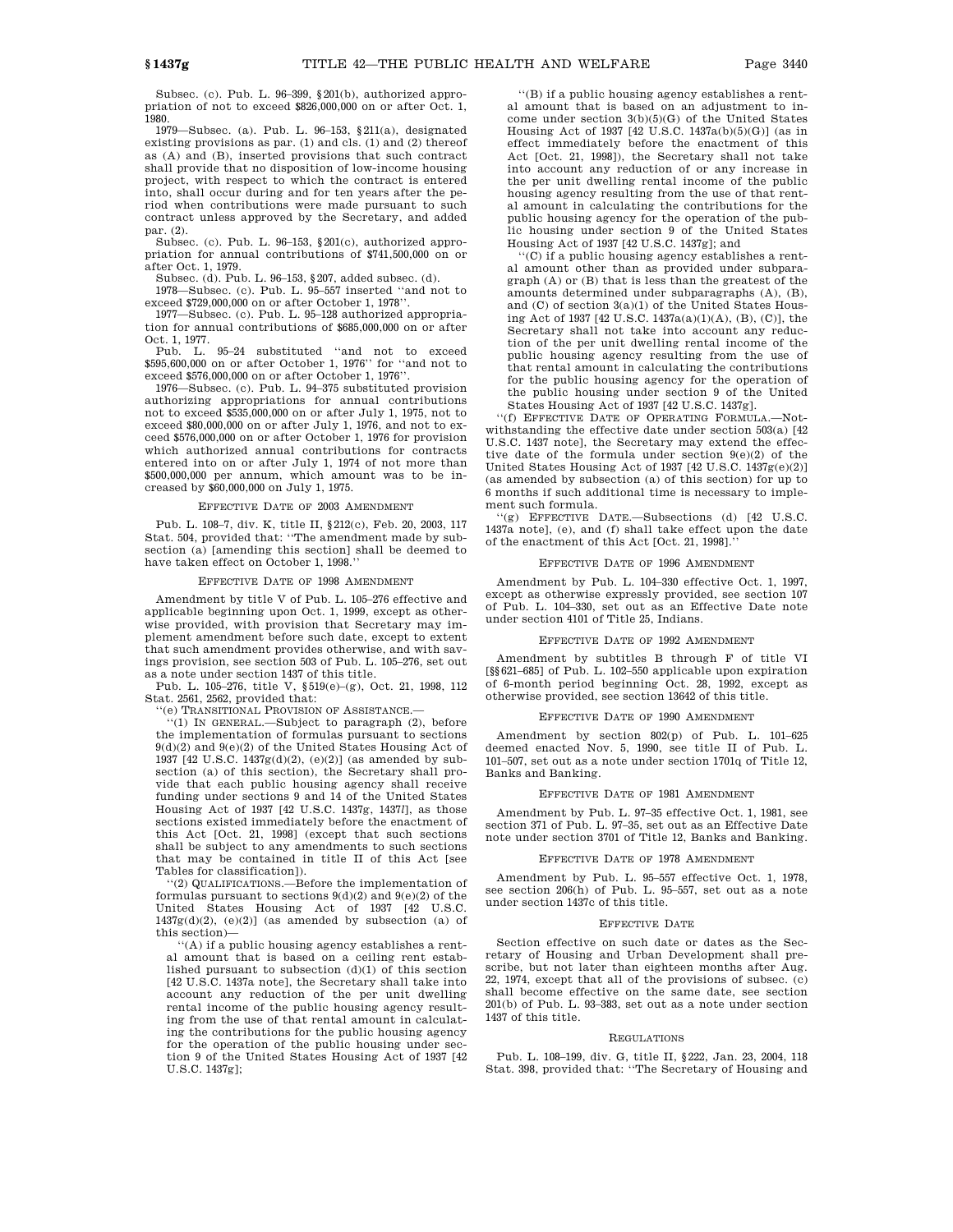Subsec. (c). Pub. L. 96–399, §201(b), authorized appropriation of not to exceed \$826,000,000 on or after Oct. 1, 1980.

1979—Subsec. (a). Pub. L. 96–153, §211(a), designated existing provisions as par. (1) and cls. (1) and (2) thereof as (A) and (B), inserted provisions that such contract shall provide that no disposition of low-income housing project, with respect to which the contract is entered into, shall occur during and for ten years after the period when contributions were made pursuant to such contract unless approved by the Secretary, and added par. (2).

Subsec. (c). Pub. L. 96–153, §201(c), authorized appropriation for annual contributions of \$741,500,000 on or after Oct. 1, 1979.

Subsec. (d). Pub. L. 96–153, §207, added subsec. (d).

1978—Subsec. (c). Pub. L. 95–557 inserted ''and not to exceed \$729,000,000 on or after October 1, 1978''.

1977—Subsec. (c). Pub. L. 95–128 authorized appropriation for annual contributions of \$685,000,000 on or after Oct. 1, 1977.

Pub. L. 95–24 substituted ''and not to exceed \$595,600,000 on or after October 1, 1976'' for ''and not to exceed \$576,000,000 on or after October 1, 1976''.

1976—Subsec. (c). Pub. L. 94–375 substituted provision authorizing appropriations for annual contributions not to exceed \$535,000,000 on or after July 1, 1975, not to exceed \$80,000,000 on or after July 1, 1976, and not to exceed \$576,000,000 on or after October 1, 1976 for provision which authorized annual contributions for contracts entered into on or after July 1, 1974 of not more than \$500,000,000 per annum, which amount was to be increased by \$60,000,000 on July 1, 1975.

#### EFFECTIVE DATE OF 2003 AMENDMENT

Pub. L. 108–7, div. K, title II, §212(c), Feb. 20, 2003, 117 Stat. 504, provided that: ''The amendment made by subsection (a) [amending this section] shall be deemed to have taken effect on October 1, 1998.

#### EFFECTIVE DATE OF 1998 AMENDMENT

Amendment by title V of Pub. L. 105–276 effective and applicable beginning upon Oct. 1, 1999, except as otherwise provided, with provision that Secretary may implement amendment before such date, except to extent that such amendment provides otherwise, and with savings provision, see section 503 of Pub. L. 105–276, set out as a note under section 1437 of this title.

Pub. L. 105–276, title V, §519(e)–(g), Oct. 21, 1998, 112 Stat. 2561, 2562, provided that:

''(e) TRANSITIONAL PROVISION OF ASSISTANCE.—

''(1) IN GENERAL.—Subject to paragraph (2), before the implementation of formulas pursuant to sections 9(d)(2) and 9(e)(2) of the United States Housing Act of 1937 [42 U.S.C. 1437g(d)(2), (e)(2)] (as amended by subsection (a) of this section), the Secretary shall provide that each public housing agency shall receive funding under sections 9 and 14 of the United States Housing Act of 1937 [42 U.S.C. 1437g, 1437*l*], as those sections existed immediately before the enactment of this Act [Oct. 21, 1998] (except that such sections shall be subject to any amendments to such sections that may be contained in title II of this Act [see Tables for classification]).

''(2) QUALIFICATIONS.—Before the implementation of formulas pursuant to sections  $9(d)(2)$  and  $9(e)(2)$  of the United States Housing Act of 1937 [42 U.S.C.  $1437g(d)(2)$ ,  $(e)(2)$ ] (as amended by subsection (a) of this section)—

''(A) if a public housing agency establishes a rental amount that is based on a ceiling rent established pursuant to subsection (d)(1) of this section [42 U.S.C. 1437a note], the Secretary shall take into account any reduction of the per unit dwelling rental income of the public housing agency resulting from the use of that rental amount in calculating the contributions for the public housing agency for the operation of the public housing under section 9 of the United States Housing Act of 1937 [42 U.S.C. 1437g];

''(B) if a public housing agency establishes a rental amount that is based on an adjustment to income under section 3(b)(5)(G) of the United States Housing Act of 1937 [42 U.S.C. 1437a(b)(5)(G)] (as in effect immediately before the enactment of this Act [Oct. 21, 1998]), the Secretary shall not take into account any reduction of or any increase in the per unit dwelling rental income of the public housing agency resulting from the use of that rental amount in calculating the contributions for the public housing agency for the operation of the public housing under section 9 of the United States Housing Act of 1937 [42 U.S.C. 1437g]; and

 $^{\circ}({\rm C})$  if a public housing agency establishes a rental amount other than as provided under subparagraph (A) or (B) that is less than the greatest of the amounts determined under subparagraphs (A), (B), and (C) of section 3(a)(1) of the United States Housing Act of 1937 [42 U.S.C. 1437a(a)(1)(A), (B), (C)], the Secretary shall not take into account any reduction of the per unit dwelling rental income of the public housing agency resulting from the use of that rental amount in calculating the contributions for the public housing agency for the operation of the public housing under section 9 of the United States Housing Act of 1937 [42 U.S.C. 1437g].

"(f) EFFECTIVE DATE OF OPERATING FORMULA.withstanding the effective date under section 503(a) [42 U.S.C. 1437 note], the Secretary may extend the effective date of the formula under section 9(e)(2) of the United States Housing Act of 1937 [42 U.S.C. 1437g(e)(2)] (as amended by subsection (a) of this section) for up to 6 months if such additional time is necessary to implement such formula.

''(g) EFFECTIVE DATE.—Subsections (d) [42 U.S.C. 1437a note], (e), and (f) shall take effect upon the date of the enactment of this Act [Oct. 21, 1998].

#### EFFECTIVE DATE OF 1996 AMENDMENT

Amendment by Pub. L. 104–330 effective Oct. 1, 1997, except as otherwise expressly provided, see section 107 of Pub. L. 104–330, set out as an Effective Date note under section 4101 of Title 25, Indians.

#### EFFECTIVE DATE OF 1992 AMENDMENT

Amendment by subtitles B through F of title VI [§§621–685] of Pub. L. 102–550 applicable upon expiration of 6-month period beginning Oct. 28, 1992, except as otherwise provided, see section 13642 of this title.

#### EFFECTIVE DATE OF 1990 AMENDMENT

Amendment by section 802(p) of Pub. L. 101–625 deemed enacted Nov. 5, 1990, see title II of Pub. L. 101–507, set out as a note under section 1701q of Title 12, Banks and Banking.

#### EFFECTIVE DATE OF 1981 AMENDMENT

Amendment by Pub. L. 97–35 effective Oct. 1, 1981, see section 371 of Pub. L. 97–35, set out as an Effective Date note under section 3701 of Title 12, Banks and Banking.

#### EFFECTIVE DATE OF 1978 AMENDMENT

Amendment by Pub. L. 95–557 effective Oct. 1, 1978, see section 206(h) of Pub. L. 95–557, set out as a note under section 1437c of this title.

#### EFFECTIVE DATE

Section effective on such date or dates as the Secretary of Housing and Urban Development shall prescribe, but not later than eighteen months after Aug. 22, 1974, except that all of the provisions of subsec. (c) shall become effective on the same date, see section 201(b) of Pub. L. 93–383, set out as a note under section 1437 of this title.

#### REGULATIONS

Pub. L. 108–199, div. G, title II, §222, Jan. 23, 2004, 118 Stat. 398, provided that: ''The Secretary of Housing and